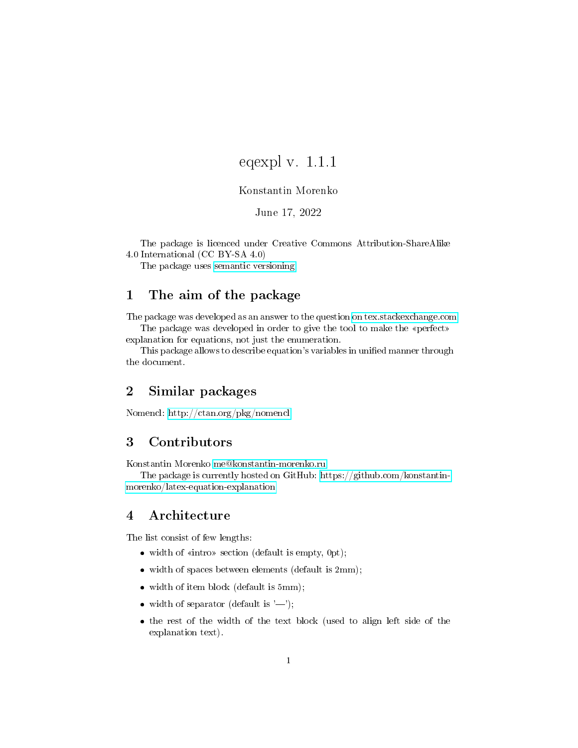# eqexpl v. 1.1.1

## Konstantin Morenko

## June 17, 2022

The package is licenced under Creative Commons Attribution-ShareAlike 4.0 International (CC BY-SA 4.0)

The package uses [semantic versioning.](https://semver.org/)

## 1 The aim of the package

The package was developed as an answer to the question [on tex.stackexchange.com](https://tex.stackexchange.com/q/95838/119485) The package was developed in order to give the tool to make the «perfect»

explanation for equations, not just the enumeration.

This package allows to describe equation's variables in unified manner through the document.

## 2 Similar packages

Nomencl:<http://ctan.org/pkg/nomencl>

## 3 Contributors

Konstantin Morenko [me@konstantin-morenko.ru](mailto:me@konstantin-morenko.ru)

The package is currently hosted on GitHub: [https://github.com/konstantin](https://github.com/konstantin-morenko/latex-equation-explanation)[morenko/latex-equation-explanation](https://github.com/konstantin-morenko/latex-equation-explanation)

## 4 Architecture

The list consist of few lengths:

- $\bullet$  width of «intro» section (default is empty, 0pt);
- $\bullet$  width of spaces between elements (default is 2mm);
- width of item block (default is 5mm);
- width of separator (default is  $'$ —');
- the rest of the width of the text block (used to align left side of the explanation text).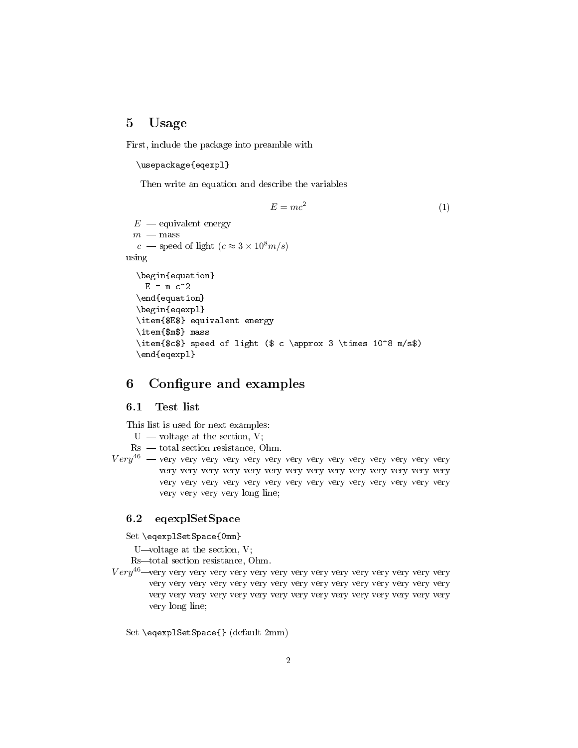## 5 Usage

First, include the package into preamble with

#### \usepackage{eqexpl}

Then write an equation and describe the variables

$$
E = mc^2 \tag{1}
$$

```
E — equivalent energy
 m\, — \, {\rm mass}c – speed of light (c \approx 3 \times 10^8 m/s)
using
  \begin{equation}
    E = m c^2\end{equation}
  \begin{eqexpl}
  \item{$E$} equivalent energy
  \item{$m$} mass
  \item{$c$} speed of light ($ c \approx 3 \times 10^8 m/s$)
  \end{eqexpl}
```
## 6 Configure and examples

### 6.1 Test list

This list is used for next examples:

 $U -$  voltage at the section, V;

- $Rs total section resistance, Ohm.$
- V ery<sup>46</sup> very very very very very very very very very very very very very very very very very very very very very very very very very very very very very very very very very very very very very very very very very very very very very very long line;

#### 6.2 eqexplSetSpace

Set \eqexplSetSpace{0mm}

U—voltage at the section,  $V$ ;

Rs-total section resistance, Ohm.

V ery<sup>46</sup>very very very very very very very very very very very very very very very very very very very very very very very very very very very very very very very very very very very very very very very very very very very very very very long line;

Set \eqexplSetSpace{} (default 2mm)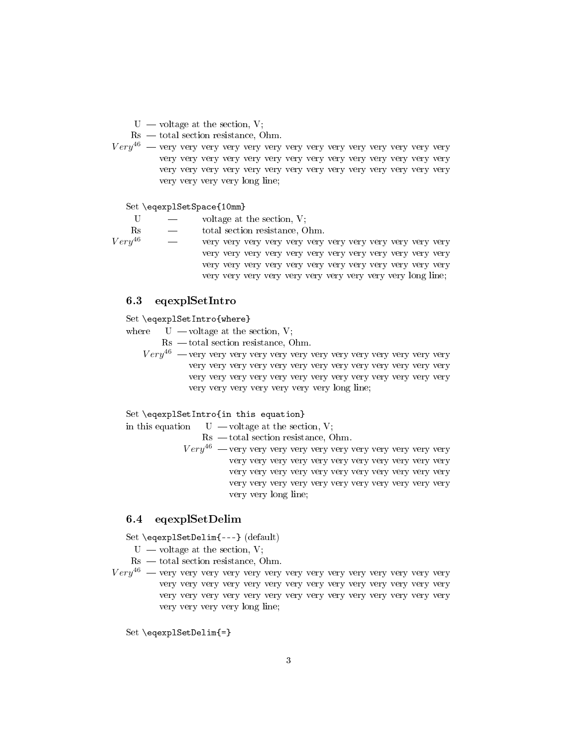$U -$  voltage at the section, V;

 $Rs - total section resistance, Ohm.$ 

V ery<sup>46</sup> very very very very very very very very very very very very very very very very very very very very very very very very very very very very very very very very very very very very very very very very very very very very very very long line;

Set \eqexplSetSpace{10mm}

 $U \longrightarrow$  voltage at the section, V; Rs  $-$  total section resistance, Ohm.<br> $Very^{46}$   $-$  very very very very very very V ery<sup>46</sup> very very very very very very very very very very very very very very very very very very very very very very very very very very very very very very very very very very very very

## 6.3 eqexplSetIntro

### Set \eqexplSetIntro{where}

where  $U -$ voltage at the section, V;

 $Rs - total section resistance, Ohm.$ 

V ery<sup>46</sup> very very very very very very very very very very very very very very very very very very very very very very very very very very very very very very very very very very very very very very very very very very very very very very long line;

very very very very very very very very very very long line;

#### Set \eqexplSetIntro{in this equation}

in this equation  $U -$  voltage at the section, V;

 $\text{Rs }$  — total section resistance, Ohm.

V ery<sup>46</sup> very very very very very very very very very very very very very very very very very very very very very very very very very very very very very very very very very very very very very very very very very very very very very very long line;

## 6.4 eqexplSetDelim

Set \eqexplSetDelim{---} (default)

 $U -$  voltage at the section, V;

 $Rs - total section resistance, Ohm.$ 

V ery<sup>46</sup> very very very very very very very very very very very very very very very very very very very very very very very very very very very very very very very very very very very very very very very very very very very very very very long line;

Set \eqexplSetDelim{=}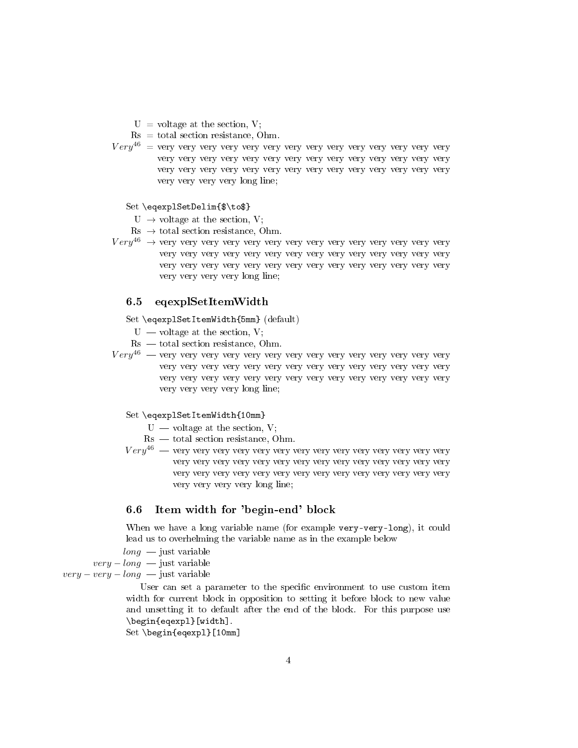$U =$  voltage at the section, V;

- $Rs = total section resistance, Ohm.$
- V ery<sup>46</sup> = very very very very very very very very very very very very very very very very very very very very very very very very very very very very very very very very very very very very very very very very very very very very very very long line;

#### Set \eqexplSetDelim{\$\to\$}

- $U \rightarrow$  voltage at the section, V;
- $\text{Rs} \rightarrow$  total section resistance, Ohm.
- V ery<sup>46</sup> → very very very very very very very very very very very very very very very very very very very very very very very very very very very very very very very very very very very very very very very very very very very very very very long line;

### 6.5 eqexplSetItemWidth

#### Set \eqexplSetItemWidth{5mm} (default)

- $U -$  voltage at the section, V;
- $Rs total section resistance, Ohm.$
- V ery<sup>46</sup> very very very very very very very very very very very very very very very very very very very very very very very very very very very very very very very very very very very very very very very very very very very very very very long line;

#### Set \eqexplSetItemWidth{10mm}

- $U -$  voltage at the section, V;
- $Rs total section resistance, Ohm.$
- V ery<sup>46</sup> very very very very very very very very very very very very very very very very very very very very very very very very very very very very very very very very very very very very very very very very very very very very very very long line;

## 6.6 Item width for 'begin-end' block

When we have a long variable name (for example very-very-long), it could lead us to overhelming the variable name as in the example below

 $\ell$ ong — just variable

 $very-long$  just variable

 $very-very-long$  just variable

User can set a parameter to the specific environment to use custom item width for current block in opposition to setting it before block to new value and unsetting it to default after the end of the block. For this purpose use \begin{eqexpl}[width].

Set \begin{eqexpl}[10mm]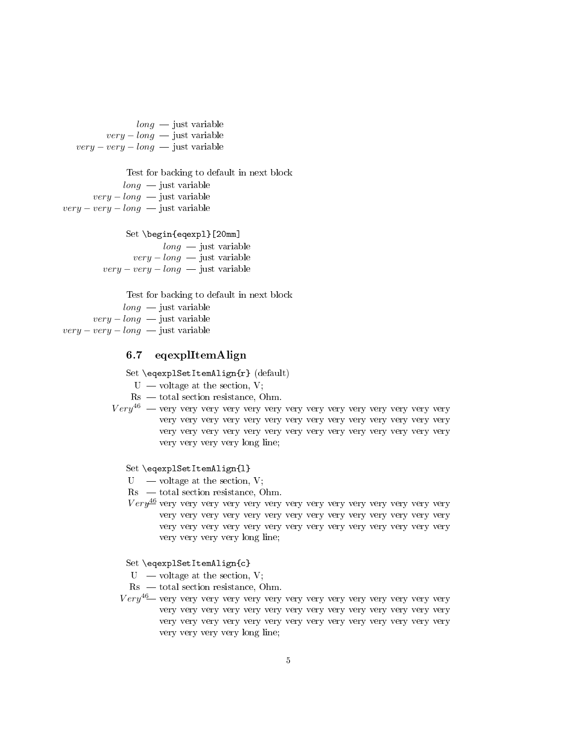$long$   $-$  just variable  $very-long$  just variable  $very-very-long$  just variable

Test for backing to default in next block  $long -$  just variable  $very-long$   $\rightarrow$  just variable  $very-very-long$  just variable

#### Set \begin{eqexpl}[20mm]

 $long -$  just variable  $very-long$   $\rightarrow$  just variable  $very-very-long$  just variable

Test for backing to default in next block

 $long$   $\longrightarrow$  just variable  $very-long$   $\rightarrow$  just variable  $very-very-long$  just variable

## 6.7 eqexplItemAlign

Set \eqexplSetItemAlign{r} (default)

 $U -$  voltage at the section, V;

 $\text{Rs }$  — total section resistance, Ohm.

V ery<sup>46</sup> very very very very very very very very very very very very very very very very very very very very very very very very very very very very very very very very very very very very very very very very very very very very very very long line;

#### Set \eqexplSetItemAlign{l}

 $U$  — voltage at the section, V;

 $\text{Rs }$   $\sim$  total section resistance, Ohm.

V ery very very very very very very very very very very very very very very <sup>46</sup> very very very very very very very very very very very very very very very very very very very very very very very very very very very very very very very very long line;

#### Set \eqexplSetItemAlign{c}

 $U -$  voltage at the section, V;

 $\text{Rs }$   $-$  total section resistance, Ohm.

V ery<sup>46</sup> very very very very very very very very very very very very very very very very very very very very very very very very very very very very very very very very very very very very very very very very very very very very very very long line;